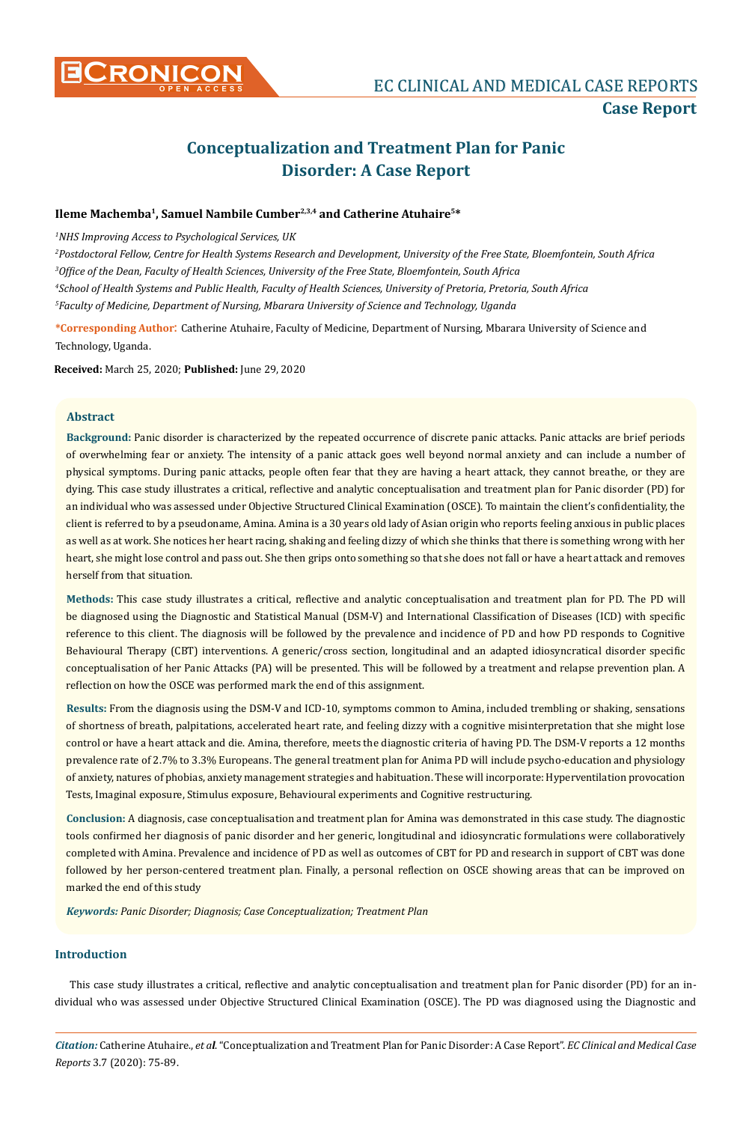

# **Conceptualization and Treatment Plan for Panic Disorder: A Case Report**

# **Ileme Machemba1, Samuel Nambile Cumber2,3,4 and Catherine Atuhaire5\***

*1 NHS Improving Access to Psychological Services, UK*

 *Postdoctoral Fellow, Centre for Health Systems Research and Development, University of the Free State, Bloemfontein, South Africa Office of the Dean, Faculty of Health Sciences, University of the Free State, Bloemfontein, South Africa School of Health Systems and Public Health, Faculty of Health Sciences, University of Pretoria, Pretoria, South Africa Faculty of Medicine, Department of Nursing, Mbarara University of Science and Technology, Uganda*

**\*Corresponding Author**: Catherine Atuhaire, Faculty of Medicine, Department of Nursing, Mbarara University of Science and Technology, Uganda.

**Received:** March 25, 2020; **Published:** June 29, 2020

# **Abstract**

**Background:** Panic disorder is characterized by the repeated occurrence of discrete panic attacks. Panic attacks are brief periods of overwhelming fear or anxiety. The intensity of a panic attack goes well beyond normal anxiety and can include a number of physical symptoms. During panic attacks, people often fear that they are having a heart attack, they cannot breathe, or they are dying. This case study illustrates a critical, reflective and analytic conceptualisation and treatment plan for Panic disorder (PD) for an individual who was assessed under Objective Structured Clinical Examination (OSCE). To maintain the client's confidentiality, the client is referred to by a pseudoname, Amina. Amina is a 30 years old lady of Asian origin who reports feeling anxious in public places as well as at work. She notices her heart racing, shaking and feeling dizzy of which she thinks that there is something wrong with her heart, she might lose control and pass out. She then grips onto something so that she does not fall or have a heart attack and removes herself from that situation.

**Methods:** This case study illustrates a critical, reflective and analytic conceptualisation and treatment plan for PD. The PD will be diagnosed using the Diagnostic and Statistical Manual (DSM-V) and International Classification of Diseases (ICD) with specific reference to this client. The diagnosis will be followed by the prevalence and incidence of PD and how PD responds to Cognitive Behavioural Therapy (CBT) interventions. A generic/cross section, longitudinal and an adapted idiosyncratical disorder specific conceptualisation of her Panic Attacks (PA) will be presented. This will be followed by a treatment and relapse prevention plan. A reflection on how the OSCE was performed mark the end of this assignment.

**Results:** From the diagnosis using the DSM-V and ICD-10, symptoms common to Amina, included trembling or shaking, sensations of shortness of breath, palpitations, accelerated heart rate, and feeling dizzy with a cognitive misinterpretation that she might lose control or have a heart attack and die. Amina, therefore, meets the diagnostic criteria of having PD. The DSM-V reports a 12 months prevalence rate of 2.7% to 3.3% Europeans. The general treatment plan for Anima PD will include psycho-education and physiology of anxiety, natures of phobias, anxiety management strategies and habituation. These will incorporate: Hyperventilation provocation Tests, Imaginal exposure, Stimulus exposure, Behavioural experiments and Cognitive restructuring.

**Conclusion:** A diagnosis, case conceptualisation and treatment plan for Amina was demonstrated in this case study. The diagnostic tools confirmed her diagnosis of panic disorder and her generic, longitudinal and idiosyncratic formulations were collaboratively completed with Amina. Prevalence and incidence of PD as well as outcomes of CBT for PD and research in support of CBT was done followed by her person-centered treatment plan. Finally, a personal reflection on OSCE showing areas that can be improved on marked the end of this study

*Keywords: Panic Disorder; Diagnosis; Case Conceptualization; Treatment Plan*

## **Introduction**

This case study illustrates a critical, reflective and analytic conceptualisation and treatment plan for Panic disorder (PD) for an individual who was assessed under Objective Structured Clinical Examination (OSCE). The PD was diagnosed using the Diagnostic and

*Citation:* Catherine Atuhaire., *et al*. "Conceptualization and Treatment Plan for Panic Disorder: A Case Report". *EC Clinical and Medical Case Reports* 3.7 (2020): 75-89.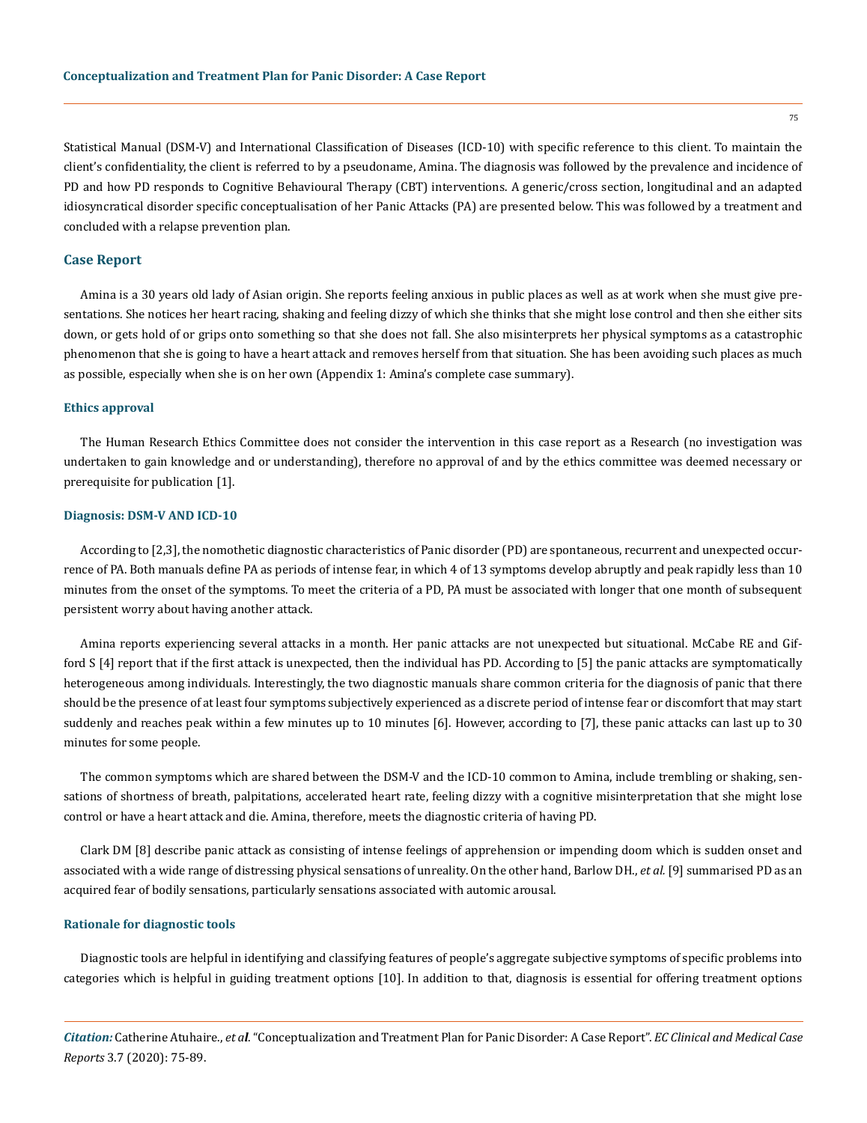Statistical Manual (DSM-V) and International Classification of Diseases (ICD-10) with specific reference to this client. To maintain the client's confidentiality, the client is referred to by a pseudoname, Amina. The diagnosis was followed by the prevalence and incidence of PD and how PD responds to Cognitive Behavioural Therapy (CBT) interventions. A generic/cross section, longitudinal and an adapted idiosyncratical disorder specific conceptualisation of her Panic Attacks (PA) are presented below. This was followed by a treatment and concluded with a relapse prevention plan.

## **Case Report**

Amina is a 30 years old lady of Asian origin. She reports feeling anxious in public places as well as at work when she must give presentations. She notices her heart racing, shaking and feeling dizzy of which she thinks that she might lose control and then she either sits down, or gets hold of or grips onto something so that she does not fall. She also misinterprets her physical symptoms as a catastrophic phenomenon that she is going to have a heart attack and removes herself from that situation. She has been avoiding such places as much as possible, especially when she is on her own (Appendix 1: Amina's complete case summary).

#### **Ethics approval**

The Human Research Ethics Committee does not consider the intervention in this case report as a Research (no investigation was undertaken to gain knowledge and or understanding), therefore no approval of and by the ethics committee was deemed necessary or prerequisite for publication [1].

#### **Diagnosis: DSM-V AND ICD-10**

According to [2,3], the nomothetic diagnostic characteristics of Panic disorder (PD) are spontaneous, recurrent and unexpected occurrence of PA. Both manuals define PA as periods of intense fear, in which 4 of 13 symptoms develop abruptly and peak rapidly less than 10 minutes from the onset of the symptoms. To meet the criteria of a PD, PA must be associated with longer that one month of subsequent persistent worry about having another attack.

Amina reports experiencing several attacks in a month. Her panic attacks are not unexpected but situational. McCabe RE and Gifford S [4] report that if the first attack is unexpected, then the individual has PD. According to [5] the panic attacks are symptomatically heterogeneous among individuals. Interestingly, the two diagnostic manuals share common criteria for the diagnosis of panic that there should be the presence of at least four symptoms subjectively experienced as a discrete period of intense fear or discomfort that may start suddenly and reaches peak within a few minutes up to 10 minutes [6]. However, according to [7], these panic attacks can last up to 30 minutes for some people.

The common symptoms which are shared between the DSM-V and the ICD-10 common to Amina, include trembling or shaking, sensations of shortness of breath, palpitations, accelerated heart rate, feeling dizzy with a cognitive misinterpretation that she might lose control or have a heart attack and die. Amina, therefore, meets the diagnostic criteria of having PD.

Clark DM [8] describe panic attack as consisting of intense feelings of apprehension or impending doom which is sudden onset and associated with a wide range of distressing physical sensations of unreality. On the other hand, Barlow DH., *et al.* [9] summarised PD as an acquired fear of bodily sensations, particularly sensations associated with automic arousal.

#### **Rationale for diagnostic tools**

Diagnostic tools are helpful in identifying and classifying features of people's aggregate subjective symptoms of specific problems into categories which is helpful in guiding treatment options [10]. In addition to that, diagnosis is essential for offering treatment options

*Citation:* Catherine Atuhaire., *et al*. "Conceptualization and Treatment Plan for Panic Disorder: A Case Report". *EC Clinical and Medical Case Reports* 3.7 (2020): 75-89.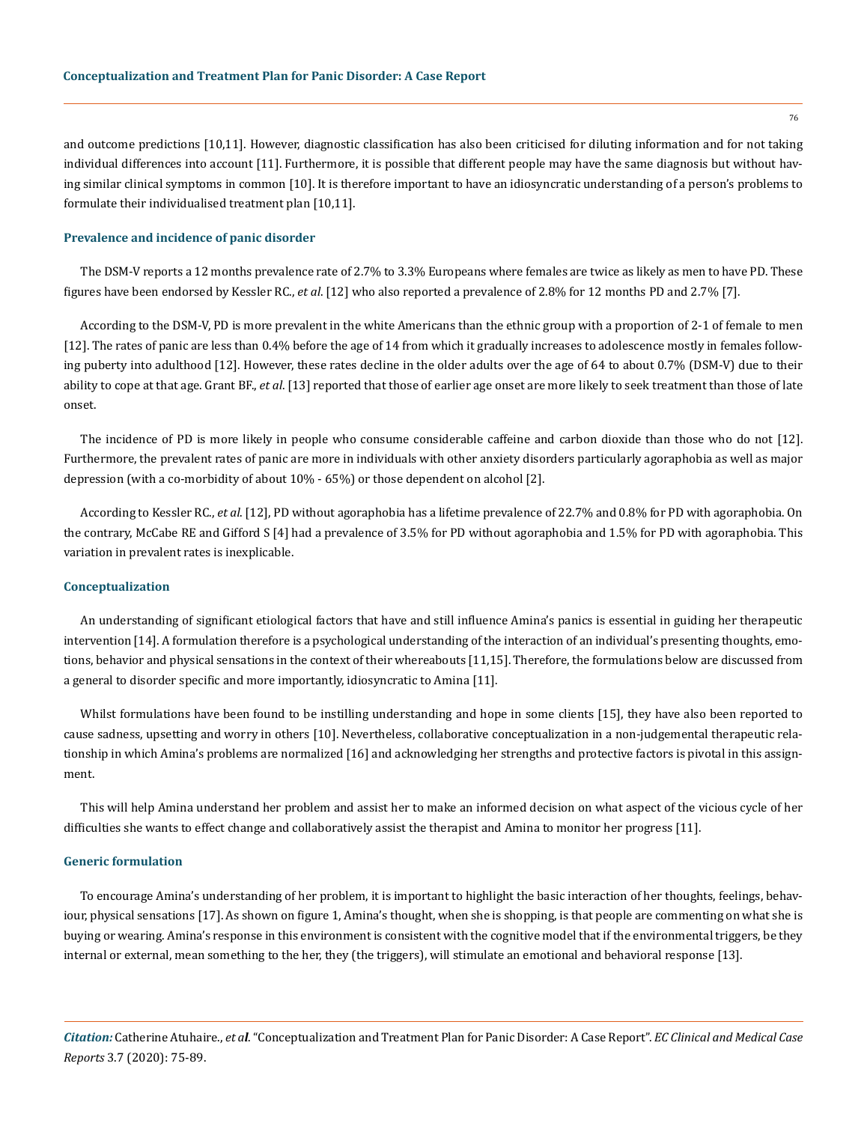and outcome predictions [10,11]. However, diagnostic classification has also been criticised for diluting information and for not taking individual differences into account [11]. Furthermore, it is possible that different people may have the same diagnosis but without having similar clinical symptoms in common [10]. It is therefore important to have an idiosyncratic understanding of a person's problems to formulate their individualised treatment plan [10,11].

#### **Prevalence and incidence of panic disorder**

The DSM-V reports a 12 months prevalence rate of 2.7% to 3.3% Europeans where females are twice as likely as men to have PD. These figures have been endorsed by Kessler RC., *et al*. [12] who also reported a prevalence of 2.8% for 12 months PD and 2.7% [7].

According to the DSM-V, PD is more prevalent in the white Americans than the ethnic group with a proportion of 2-1 of female to men [12]. The rates of panic are less than 0.4% before the age of 14 from which it gradually increases to adolescence mostly in females following puberty into adulthood [12]. However, these rates decline in the older adults over the age of 64 to about 0.7% (DSM-V) due to their ability to cope at that age. Grant BF., *et al*. [13] reported that those of earlier age onset are more likely to seek treatment than those of late onset.

The incidence of PD is more likely in people who consume considerable caffeine and carbon dioxide than those who do not [12]. Furthermore, the prevalent rates of panic are more in individuals with other anxiety disorders particularly agoraphobia as well as major depression (with a co-morbidity of about 10% - 65%) or those dependent on alcohol [2].

According to Kessler RC., *et al*. [12], PD without agoraphobia has a lifetime prevalence of 22.7% and 0.8% for PD with agoraphobia. On the contrary, McCabe RE and Gifford S [4] had a prevalence of 3.5% for PD without agoraphobia and 1.5% for PD with agoraphobia. This variation in prevalent rates is inexplicable.

#### **Conceptualization**

An understanding of significant etiological factors that have and still influence Amina's panics is essential in guiding her therapeutic intervention [14]. A formulation therefore is a psychological understanding of the interaction of an individual's presenting thoughts, emotions, behavior and physical sensations in the context of their whereabouts [11,15]. Therefore, the formulations below are discussed from a general to disorder specific and more importantly, idiosyncratic to Amina [11].

Whilst formulations have been found to be instilling understanding and hope in some clients [15], they have also been reported to cause sadness, upsetting and worry in others [10]. Nevertheless, collaborative conceptualization in a non-judgemental therapeutic relationship in which Amina's problems are normalized [16] and acknowledging her strengths and protective factors is pivotal in this assignment.

This will help Amina understand her problem and assist her to make an informed decision on what aspect of the vicious cycle of her difficulties she wants to effect change and collaboratively assist the therapist and Amina to monitor her progress [11].

#### **Generic formulation**

To encourage Amina's understanding of her problem, it is important to highlight the basic interaction of her thoughts, feelings, behaviour, physical sensations [17]. As shown on figure 1, Amina's thought, when she is shopping, is that people are commenting on what she is buying or wearing. Amina's response in this environment is consistent with the cognitive model that if the environmental triggers, be they internal or external, mean something to the her, they (the triggers), will stimulate an emotional and behavioral response [13].

*Citation:* Catherine Atuhaire., *et al*. "Conceptualization and Treatment Plan for Panic Disorder: A Case Report". *EC Clinical and Medical Case Reports* 3.7 (2020): 75-89.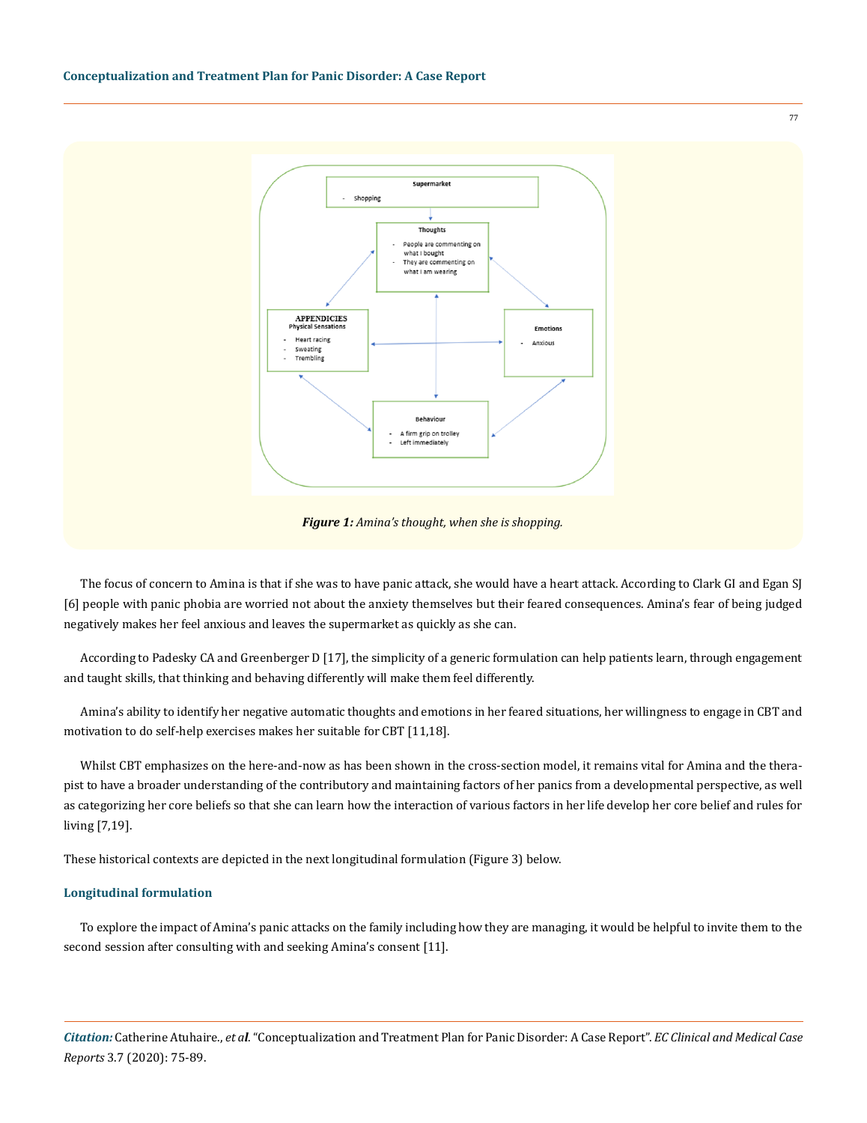

*Figure 1: Amina's thought, when she is shopping.* 

The focus of concern to Amina is that if she was to have panic attack, she would have a heart attack. According to Clark GI and Egan SJ [6] people with panic phobia are worried not about the anxiety themselves but their feared consequences. Amina's fear of being judged negatively makes her feel anxious and leaves the supermarket as quickly as she can.

According to Padesky CA and Greenberger D [17], the simplicity of a generic formulation can help patients learn, through engagement and taught skills, that thinking and behaving differently will make them feel differently.

Amina's ability to identify her negative automatic thoughts and emotions in her feared situations, her willingness to engage in CBT and motivation to do self-help exercises makes her suitable for CBT [11,18].

Whilst CBT emphasizes on the here-and-now as has been shown in the cross-section model, it remains vital for Amina and the therapist to have a broader understanding of the contributory and maintaining factors of her panics from a developmental perspective, as well as categorizing her core beliefs so that she can learn how the interaction of various factors in her life develop her core belief and rules for living [7,19].

These historical contexts are depicted in the next longitudinal formulation (Figure 3) below.

#### **Longitudinal formulation**

To explore the impact of Amina's panic attacks on the family including how they are managing, it would be helpful to invite them to the second session after consulting with and seeking Amina's consent [11].

*Citation:* Catherine Atuhaire., *et al*. "Conceptualization and Treatment Plan for Panic Disorder: A Case Report". *EC Clinical and Medical Case Reports* 3.7 (2020): 75-89.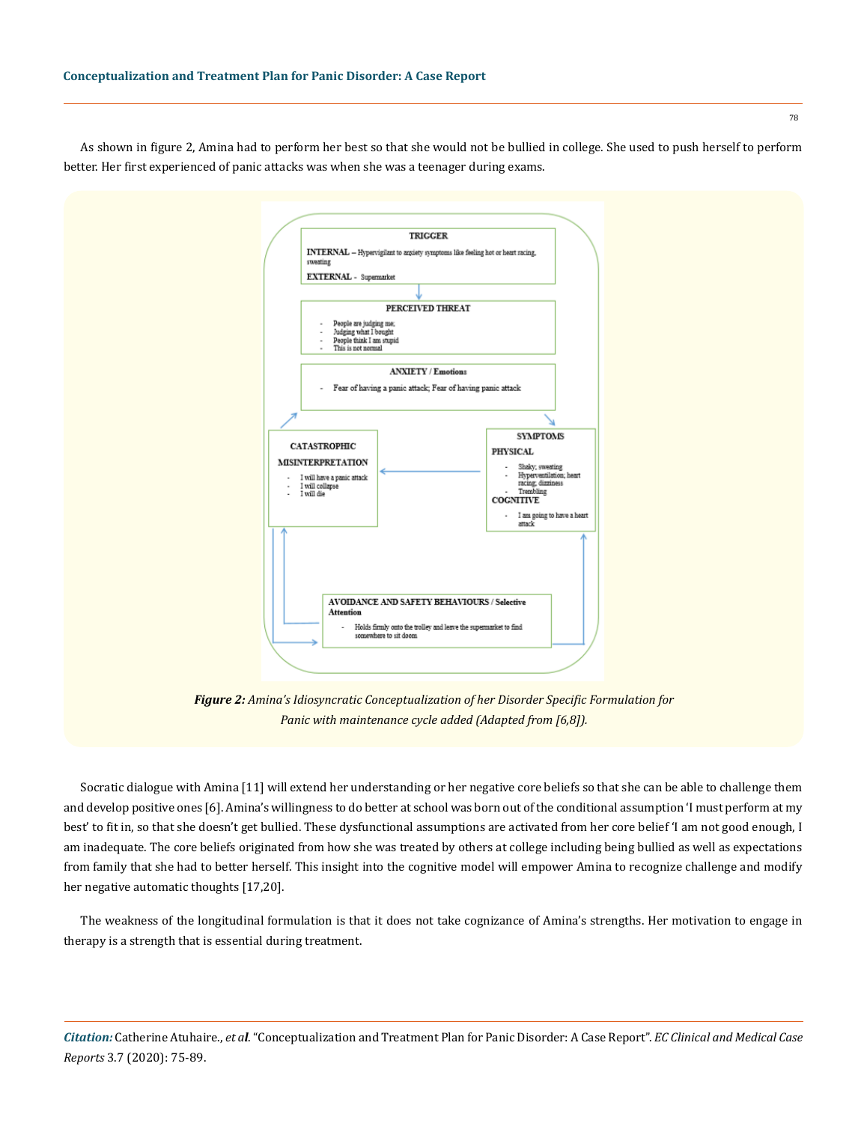As shown in figure 2, Amina had to perform her best so that she would not be bullied in college. She used to push herself to perform better. Her first experienced of panic attacks was when she was a teenager during exams.



*Figure 2: Amina's Idiosyncratic Conceptualization of her Disorder Specific Formulation for Panic with maintenance cycle added (Adapted from [6,8]).*

Socratic dialogue with Amina [11] will extend her understanding or her negative core beliefs so that she can be able to challenge them and develop positive ones [6]. Amina's willingness to do better at school was born out of the conditional assumption 'I must perform at my best' to fit in, so that she doesn't get bullied. These dysfunctional assumptions are activated from her core belief 'I am not good enough, I am inadequate. The core beliefs originated from how she was treated by others at college including being bullied as well as expectations from family that she had to better herself. This insight into the cognitive model will empower Amina to recognize challenge and modify her negative automatic thoughts [17,20].

The weakness of the longitudinal formulation is that it does not take cognizance of Amina's strengths. Her motivation to engage in therapy is a strength that is essential during treatment.

*Citation:* Catherine Atuhaire., *et al*. "Conceptualization and Treatment Plan for Panic Disorder: A Case Report". *EC Clinical and Medical Case Reports* 3.7 (2020): 75-89.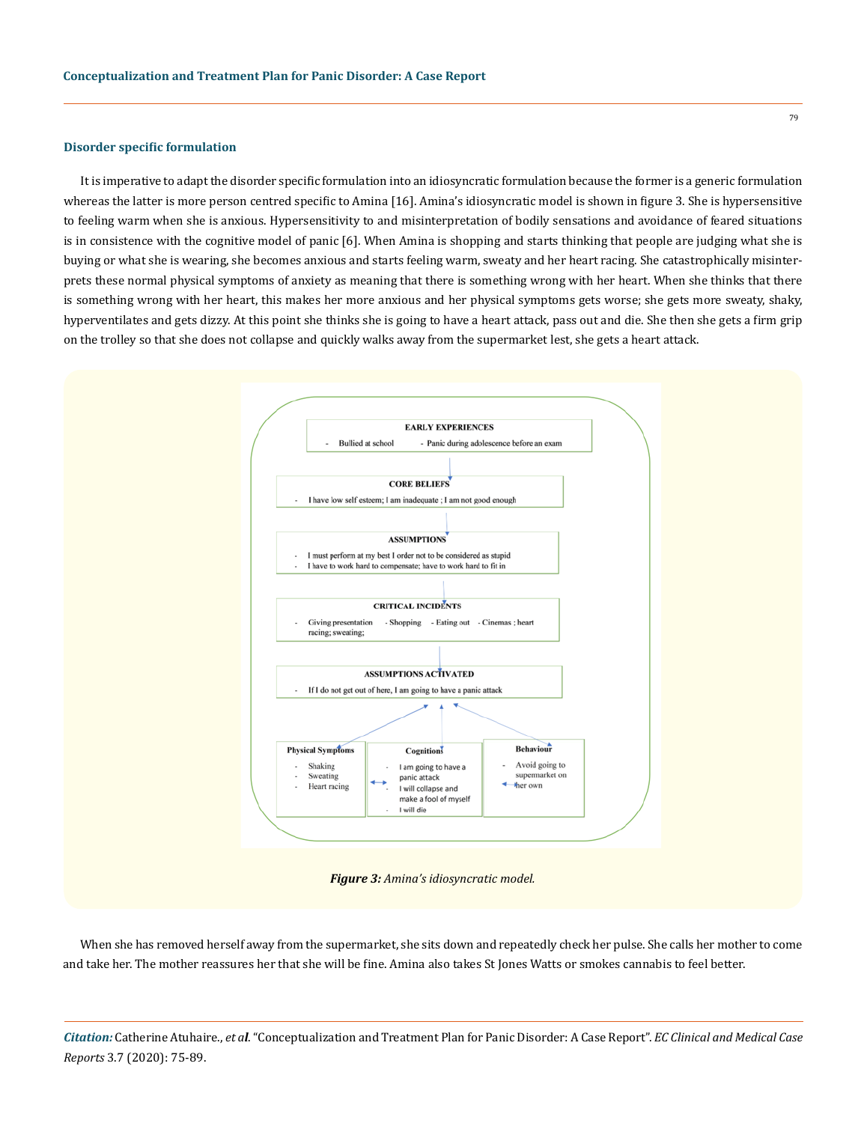## **Disorder specific formulation**

It is imperative to adapt the disorder specific formulation into an idiosyncratic formulation because the former is a generic formulation whereas the latter is more person centred specific to Amina [16]. Amina's idiosyncratic model is shown in figure 3. She is hypersensitive to feeling warm when she is anxious. Hypersensitivity to and misinterpretation of bodily sensations and avoidance of feared situations is in consistence with the cognitive model of panic [6]. When Amina is shopping and starts thinking that people are judging what she is buying or what she is wearing, she becomes anxious and starts feeling warm, sweaty and her heart racing. She catastrophically misinterprets these normal physical symptoms of anxiety as meaning that there is something wrong with her heart. When she thinks that there is something wrong with her heart, this makes her more anxious and her physical symptoms gets worse; she gets more sweaty, shaky, hyperventilates and gets dizzy. At this point she thinks she is going to have a heart attack, pass out and die. She then she gets a firm grip on the trolley so that she does not collapse and quickly walks away from the supermarket lest, she gets a heart attack.



*Figure 3: Amina's idiosyncratic model.* 

When she has removed herself away from the supermarket, she sits down and repeatedly check her pulse. She calls her mother to come and take her. The mother reassures her that she will be fine. Amina also takes St Jones Watts or smokes cannabis to feel better.

*Citation:* Catherine Atuhaire., *et al*. "Conceptualization and Treatment Plan for Panic Disorder: A Case Report". *EC Clinical and Medical Case Reports* 3.7 (2020): 75-89.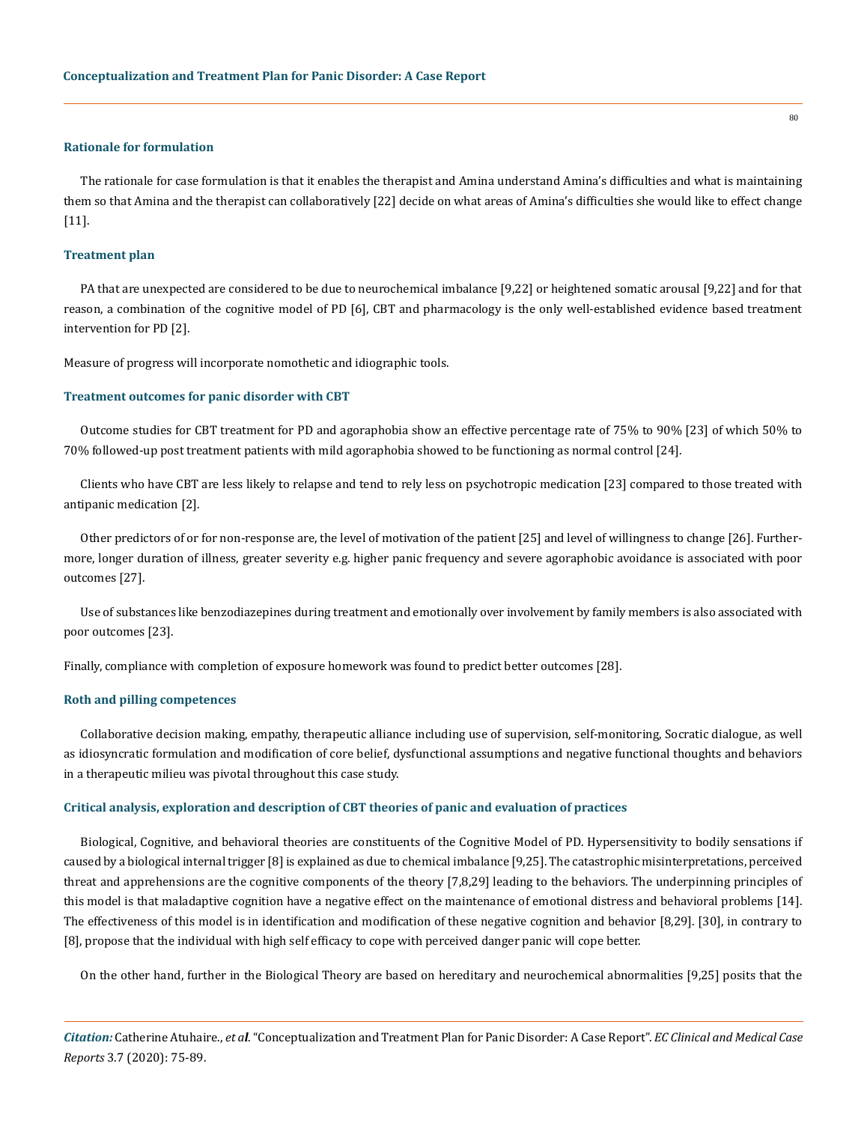#### **Rationale for formulation**

The rationale for case formulation is that it enables the therapist and Amina understand Amina's difficulties and what is maintaining them so that Amina and the therapist can collaboratively [22] decide on what areas of Amina's difficulties she would like to effect change [11].

## **Treatment plan**

PA that are unexpected are considered to be due to neurochemical imbalance [9,22] or heightened somatic arousal [9,22] and for that reason, a combination of the cognitive model of PD [6], CBT and pharmacology is the only well-established evidence based treatment intervention for PD [2].

Measure of progress will incorporate nomothetic and idiographic tools.

#### **Treatment outcomes for panic disorder with CBT**

Outcome studies for CBT treatment for PD and agoraphobia show an effective percentage rate of 75% to 90% [23] of which 50% to 70% followed-up post treatment patients with mild agoraphobia showed to be functioning as normal control [24].

Clients who have CBT are less likely to relapse and tend to rely less on psychotropic medication [23] compared to those treated with antipanic medication [2].

Other predictors of or for non-response are, the level of motivation of the patient [25] and level of willingness to change [26]. Furthermore, longer duration of illness, greater severity e.g. higher panic frequency and severe agoraphobic avoidance is associated with poor outcomes [27].

Use of substances like benzodiazepines during treatment and emotionally over involvement by family members is also associated with poor outcomes [23].

Finally, compliance with completion of exposure homework was found to predict better outcomes [28].

## **Roth and pilling competences**

Collaborative decision making, empathy, therapeutic alliance including use of supervision, self-monitoring, Socratic dialogue, as well as idiosyncratic formulation and modification of core belief, dysfunctional assumptions and negative functional thoughts and behaviors in a therapeutic milieu was pivotal throughout this case study.

#### **Critical analysis, exploration and description of CBT theories of panic and evaluation of practices**

Biological, Cognitive, and behavioral theories are constituents of the Cognitive Model of PD. Hypersensitivity to bodily sensations if caused by a biological internal trigger [8] is explained as due to chemical imbalance [9,25]. The catastrophic misinterpretations, perceived threat and apprehensions are the cognitive components of the theory [7,8,29] leading to the behaviors. The underpinning principles of this model is that maladaptive cognition have a negative effect on the maintenance of emotional distress and behavioral problems [14]. The effectiveness of this model is in identification and modification of these negative cognition and behavior [8,29]. [30], in contrary to [8], propose that the individual with high self efficacy to cope with perceived danger panic will cope better.

On the other hand, further in the Biological Theory are based on hereditary and neurochemical abnormalities [9,25] posits that the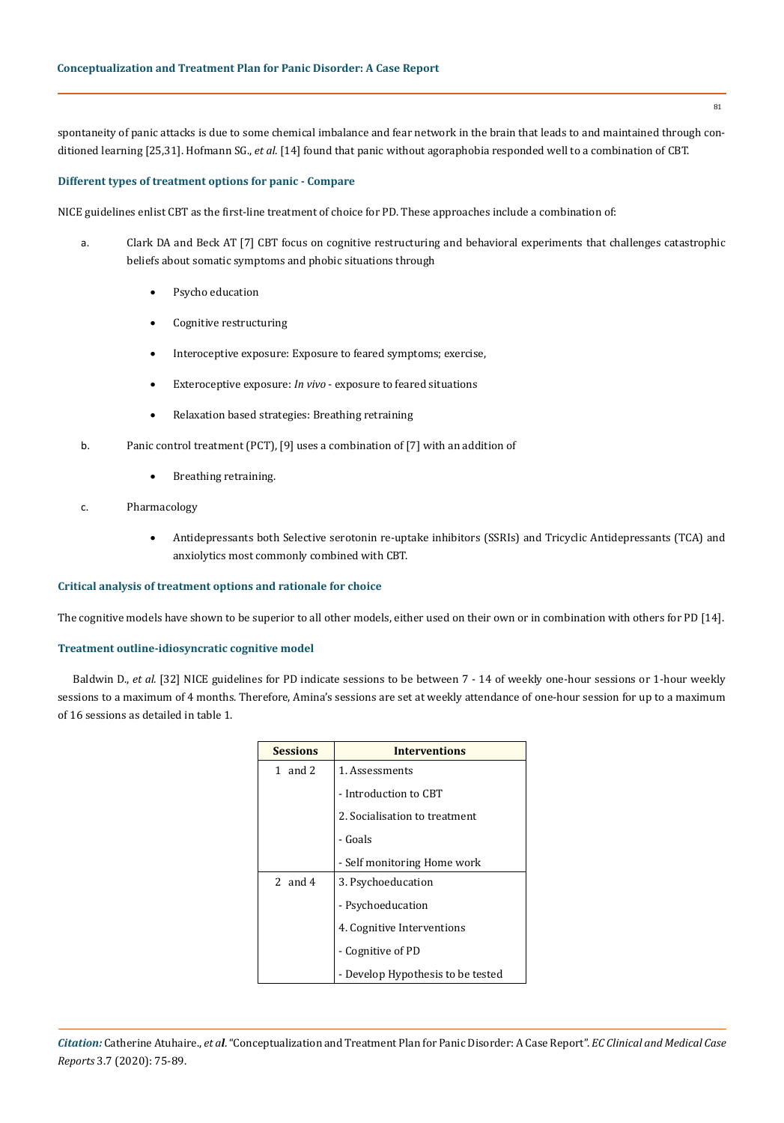spontaneity of panic attacks is due to some chemical imbalance and fear network in the brain that leads to and maintained through conditioned learning [25,31]. Hofmann SG., *et al.* [14] found that panic without agoraphobia responded well to a combination of CBT.

## **Different types of treatment options for panic - Compare**

NICE guidelines enlist CBT as the first-line treatment of choice for PD. These approaches include a combination of:

- a. Clark DA and Beck AT [7] CBT focus on cognitive restructuring and behavioral experiments that challenges catastrophic beliefs about somatic symptoms and phobic situations through
	- Psycho education
	- Cognitive restructuring
	- Interoceptive exposure: Exposure to feared symptoms; exercise,
	- Exteroceptive exposure: *In vivo* exposure to feared situations
	- • Relaxation based strategies: Breathing retraining
- b. Panic control treatment (PCT), [9] uses a combination of [7] with an addition of
	- Breathing retraining.
- c. Pharmacology
	- Antidepressants both Selective serotonin re-uptake inhibitors (SSRIs) and Tricyclic Antidepressants (TCA) and anxiolytics most commonly combined with CBT.

## **Critical analysis of treatment options and rationale for choice**

The cognitive models have shown to be superior to all other models, either used on their own or in combination with others for PD [14].

## **Treatment outline-idiosyncratic cognitive model**

Baldwin D., *et al.* [32] NICE guidelines for PD indicate sessions to be between 7 - 14 of weekly one-hour sessions or 1-hour weekly sessions to a maximum of 4 months. Therefore, Amina's sessions are set at weekly attendance of one-hour session for up to a maximum of 16 sessions as detailed in table 1.

| <b>Sessions</b> | <b>Interventions</b>              |  |
|-----------------|-----------------------------------|--|
| 1 and $2$       | 1. Assessments                    |  |
|                 | - Introduction to CBT             |  |
|                 | 2. Socialisation to treatment     |  |
|                 | - Goals                           |  |
|                 | - Self monitoring Home work       |  |
| 2 and 4         | 3. Psychoeducation                |  |
|                 | - Psychoeducation                 |  |
|                 | 4. Cognitive Interventions        |  |
|                 | - Cognitive of PD                 |  |
|                 | - Develop Hypothesis to be tested |  |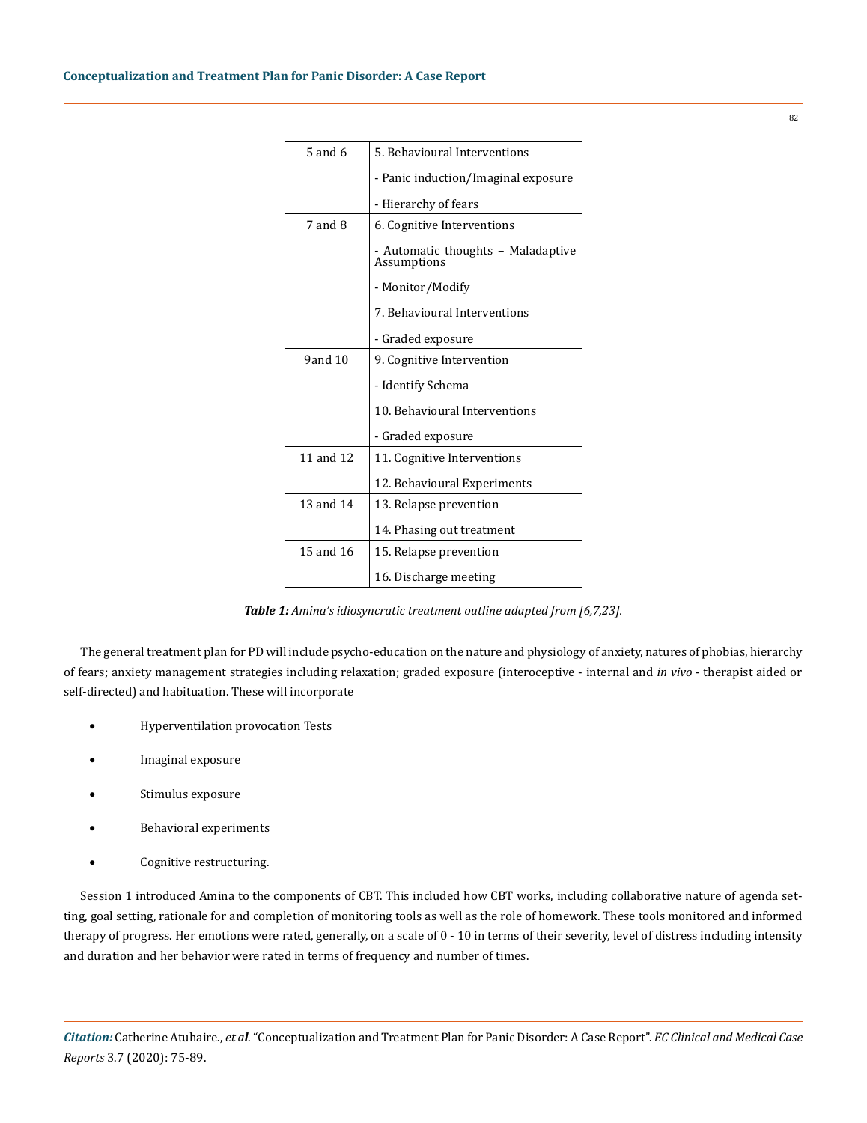| $5$ and $6$  | 5. Behavioural Interventions                      |  |
|--------------|---------------------------------------------------|--|
|              | - Panic induction/Imaginal exposure               |  |
|              | - Hierarchy of fears                              |  |
| 7 and 8      | 6. Cognitive Interventions                        |  |
|              | - Automatic thoughts – Maladaptive<br>Assumptions |  |
|              | - Monitor/Modify                                  |  |
|              | 7. Behavioural Interventions                      |  |
|              | - Graded exposure                                 |  |
| $9$ and $10$ | 9. Cognitive Intervention                         |  |
|              | - Identify Schema                                 |  |
|              | 10. Behavioural Interventions                     |  |
|              | - Graded exposure                                 |  |
| 11 and 12    | 11. Cognitive Interventions                       |  |
|              | 12. Behavioural Experiments                       |  |
| 13 and 14    | 13. Relapse prevention                            |  |
|              | 14. Phasing out treatment                         |  |
| 15 and 16    | 15. Relapse prevention                            |  |
|              | 16. Discharge meeting                             |  |

*Table 1: Amina's idiosyncratic treatment outline adapted from [6,7,23].*

The general treatment plan for PD will include psycho-education on the nature and physiology of anxiety, natures of phobias, hierarchy of fears; anxiety management strategies including relaxation; graded exposure (interoceptive - internal and *in vivo* - therapist aided or self-directed) and habituation. These will incorporate

- **Hyperventilation provocation Tests**
- Imaginal exposure
- Stimulus exposure
- Behavioral experiments
- • Cognitive restructuring.

Session 1 introduced Amina to the components of CBT. This included how CBT works, including collaborative nature of agenda setting, goal setting, rationale for and completion of monitoring tools as well as the role of homework. These tools monitored and informed therapy of progress. Her emotions were rated, generally, on a scale of 0 - 10 in terms of their severity, level of distress including intensity and duration and her behavior were rated in terms of frequency and number of times.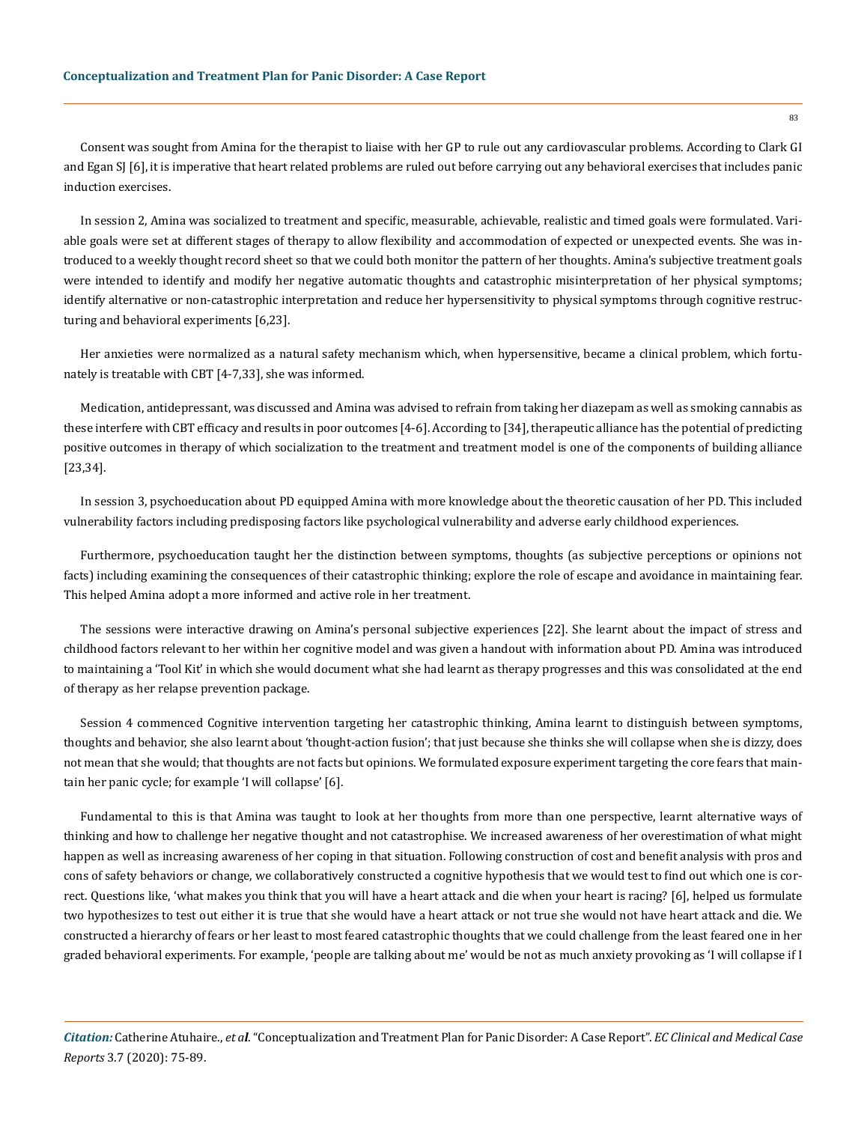Consent was sought from Amina for the therapist to liaise with her GP to rule out any cardiovascular problems. According to Clark GI and Egan SJ [6], it is imperative that heart related problems are ruled out before carrying out any behavioral exercises that includes panic induction exercises.

In session 2, Amina was socialized to treatment and specific, measurable, achievable, realistic and timed goals were formulated. Variable goals were set at different stages of therapy to allow flexibility and accommodation of expected or unexpected events. She was introduced to a weekly thought record sheet so that we could both monitor the pattern of her thoughts. Amina's subjective treatment goals were intended to identify and modify her negative automatic thoughts and catastrophic misinterpretation of her physical symptoms; identify alternative or non-catastrophic interpretation and reduce her hypersensitivity to physical symptoms through cognitive restructuring and behavioral experiments [6,23].

Her anxieties were normalized as a natural safety mechanism which, when hypersensitive, became a clinical problem, which fortunately is treatable with CBT [4-7,33], she was informed.

Medication, antidepressant, was discussed and Amina was advised to refrain from taking her diazepam as well as smoking cannabis as these interfere with CBT efficacy and results in poor outcomes [4-6]. According to [34], therapeutic alliance has the potential of predicting positive outcomes in therapy of which socialization to the treatment and treatment model is one of the components of building alliance [23,34].

In session 3, psychoeducation about PD equipped Amina with more knowledge about the theoretic causation of her PD. This included vulnerability factors including predisposing factors like psychological vulnerability and adverse early childhood experiences.

Furthermore, psychoeducation taught her the distinction between symptoms, thoughts (as subjective perceptions or opinions not facts) including examining the consequences of their catastrophic thinking; explore the role of escape and avoidance in maintaining fear. This helped Amina adopt a more informed and active role in her treatment.

The sessions were interactive drawing on Amina's personal subjective experiences [22]. She learnt about the impact of stress and childhood factors relevant to her within her cognitive model and was given a handout with information about PD. Amina was introduced to maintaining a 'Tool Kit' in which she would document what she had learnt as therapy progresses and this was consolidated at the end of therapy as her relapse prevention package.

Session 4 commenced Cognitive intervention targeting her catastrophic thinking, Amina learnt to distinguish between symptoms, thoughts and behavior, she also learnt about 'thought-action fusion'; that just because she thinks she will collapse when she is dizzy, does not mean that she would; that thoughts are not facts but opinions. We formulated exposure experiment targeting the core fears that maintain her panic cycle; for example 'I will collapse' [6].

Fundamental to this is that Amina was taught to look at her thoughts from more than one perspective, learnt alternative ways of thinking and how to challenge her negative thought and not catastrophise. We increased awareness of her overestimation of what might happen as well as increasing awareness of her coping in that situation. Following construction of cost and benefit analysis with pros and cons of safety behaviors or change, we collaboratively constructed a cognitive hypothesis that we would test to find out which one is correct. Questions like, 'what makes you think that you will have a heart attack and die when your heart is racing? [6], helped us formulate two hypothesizes to test out either it is true that she would have a heart attack or not true she would not have heart attack and die. We constructed a hierarchy of fears or her least to most feared catastrophic thoughts that we could challenge from the least feared one in her graded behavioral experiments. For example, 'people are talking about me' would be not as much anxiety provoking as 'I will collapse if I

*Citation:* Catherine Atuhaire., *et al*. "Conceptualization and Treatment Plan for Panic Disorder: A Case Report". *EC Clinical and Medical Case Reports* 3.7 (2020): 75-89.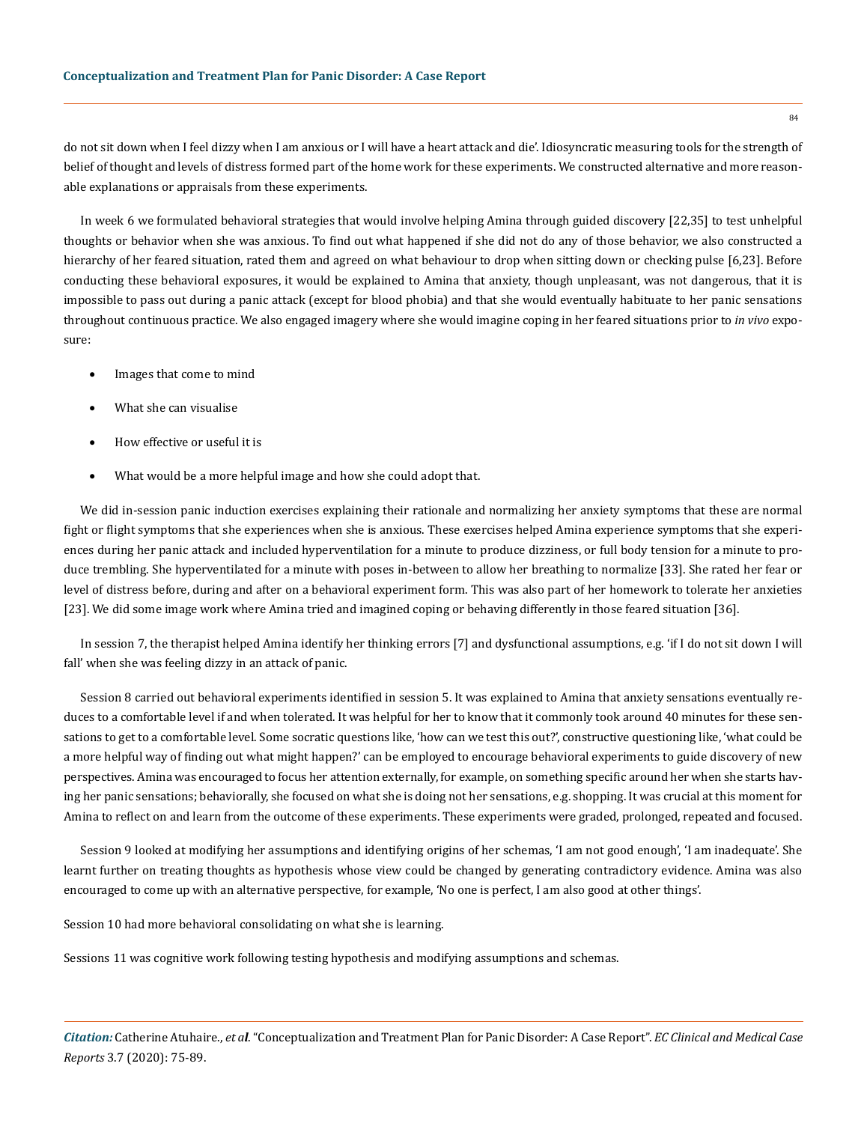do not sit down when I feel dizzy when I am anxious or I will have a heart attack and die'. Idiosyncratic measuring tools for the strength of belief of thought and levels of distress formed part of the home work for these experiments. We constructed alternative and more reasonable explanations or appraisals from these experiments.

In week 6 we formulated behavioral strategies that would involve helping Amina through guided discovery [22,35] to test unhelpful thoughts or behavior when she was anxious. To find out what happened if she did not do any of those behavior, we also constructed a hierarchy of her feared situation, rated them and agreed on what behaviour to drop when sitting down or checking pulse [6,23]. Before conducting these behavioral exposures, it would be explained to Amina that anxiety, though unpleasant, was not dangerous, that it is impossible to pass out during a panic attack (except for blood phobia) and that she would eventually habituate to her panic sensations throughout continuous practice. We also engaged imagery where she would imagine coping in her feared situations prior to *in vivo* exposure:

- Images that come to mind
- What she can visualise
- How effective or useful it is
- What would be a more helpful image and how she could adopt that.

We did in-session panic induction exercises explaining their rationale and normalizing her anxiety symptoms that these are normal fight or flight symptoms that she experiences when she is anxious. These exercises helped Amina experience symptoms that she experiences during her panic attack and included hyperventilation for a minute to produce dizziness, or full body tension for a minute to produce trembling. She hyperventilated for a minute with poses in-between to allow her breathing to normalize [33]. She rated her fear or level of distress before, during and after on a behavioral experiment form. This was also part of her homework to tolerate her anxieties [23]. We did some image work where Amina tried and imagined coping or behaving differently in those feared situation [36].

In session 7, the therapist helped Amina identify her thinking errors [7] and dysfunctional assumptions, e.g. 'if I do not sit down I will fall' when she was feeling dizzy in an attack of panic.

Session 8 carried out behavioral experiments identified in session 5. It was explained to Amina that anxiety sensations eventually reduces to a comfortable level if and when tolerated. It was helpful for her to know that it commonly took around 40 minutes for these sensations to get to a comfortable level. Some socratic questions like, 'how can we test this out?', constructive questioning like, 'what could be a more helpful way of finding out what might happen?' can be employed to encourage behavioral experiments to guide discovery of new perspectives. Amina was encouraged to focus her attention externally, for example, on something specific around her when she starts having her panic sensations; behaviorally, she focused on what she is doing not her sensations, e.g. shopping. It was crucial at this moment for Amina to reflect on and learn from the outcome of these experiments. These experiments were graded, prolonged, repeated and focused.

Session 9 looked at modifying her assumptions and identifying origins of her schemas, 'I am not good enough', 'I am inadequate'. She learnt further on treating thoughts as hypothesis whose view could be changed by generating contradictory evidence. Amina was also encouraged to come up with an alternative perspective, for example, 'No one is perfect, I am also good at other things'.

Session 10 had more behavioral consolidating on what she is learning.

Sessions 11 was cognitive work following testing hypothesis and modifying assumptions and schemas.

*Citation:* Catherine Atuhaire., *et al*. "Conceptualization and Treatment Plan for Panic Disorder: A Case Report". *EC Clinical and Medical Case Reports* 3.7 (2020): 75-89.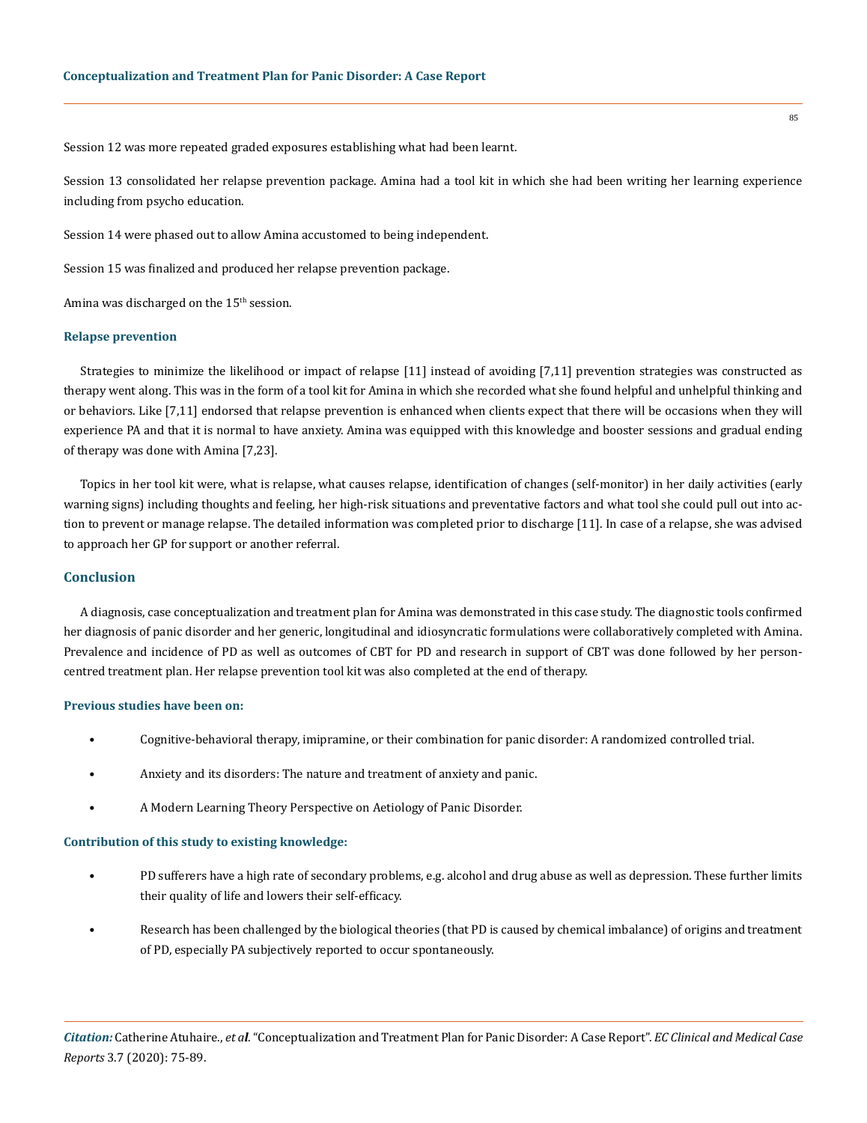Session 12 was more repeated graded exposures establishing what had been learnt.

Session 13 consolidated her relapse prevention package. Amina had a tool kit in which she had been writing her learning experience including from psycho education.

Session 14 were phased out to allow Amina accustomed to being independent.

Session 15 was finalized and produced her relapse prevention package.

Amina was discharged on the  $15<sup>th</sup>$  session.

#### **Relapse prevention**

Strategies to minimize the likelihood or impact of relapse [11] instead of avoiding [7,11] prevention strategies was constructed as therapy went along. This was in the form of a tool kit for Amina in which she recorded what she found helpful and unhelpful thinking and or behaviors. Like [7,11] endorsed that relapse prevention is enhanced when clients expect that there will be occasions when they will experience PA and that it is normal to have anxiety. Amina was equipped with this knowledge and booster sessions and gradual ending of therapy was done with Amina [7,23].

Topics in her tool kit were, what is relapse, what causes relapse, identification of changes (self-monitor) in her daily activities (early warning signs) including thoughts and feeling, her high-risk situations and preventative factors and what tool she could pull out into action to prevent or manage relapse. The detailed information was completed prior to discharge [11]. In case of a relapse, she was advised to approach her GP for support or another referral.

## **Conclusion**

A diagnosis, case conceptualization and treatment plan for Amina was demonstrated in this case study. The diagnostic tools confirmed her diagnosis of panic disorder and her generic, longitudinal and idiosyncratic formulations were collaboratively completed with Amina. Prevalence and incidence of PD as well as outcomes of CBT for PD and research in support of CBT was done followed by her personcentred treatment plan. Her relapse prevention tool kit was also completed at the end of therapy.

## **Previous studies have been on:**

- Cognitive-behavioral therapy, imipramine, or their combination for panic disorder: A randomized controlled trial.
- Anxiety and its disorders: The nature and treatment of anxiety and panic.
	- A Modern Learning Theory Perspective on Aetiology of Panic Disorder.

## **Contribution of this study to existing knowledge:**

- PD sufferers have a high rate of secondary problems, e.g. alcohol and drug abuse as well as depression. These further limits their quality of life and lowers their self-efficacy.
- Research has been challenged by the biological theories (that PD is caused by chemical imbalance) of origins and treatment of PD, especially PA subjectively reported to occur spontaneously.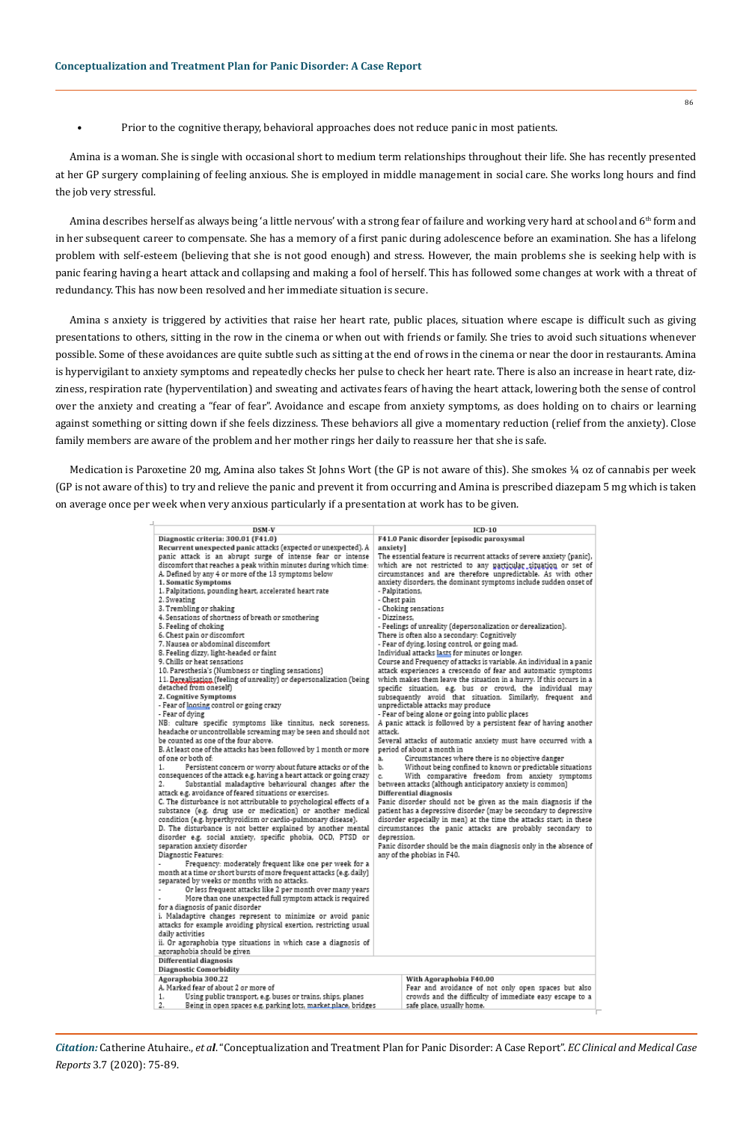• Prior to the cognitive therapy, behavioral approaches does not reduce panic in most patients.

Amina is a woman. She is single with occasional short to medium term relationships throughout their life. She has recently presented at her GP surgery complaining of feeling anxious. She is employed in middle management in social care. She works long hours and find the job very stressful.

Amina describes herself as always being 'a little nervous' with a strong fear of failure and working very hard at school and 6<sup>th</sup> form and in her subsequent career to compensate. She has a memory of a first panic during adolescence before an examination. She has a lifelong problem with self-esteem (believing that she is not good enough) and stress. However, the main problems she is seeking help with is panic fearing having a heart attack and collapsing and making a fool of herself. This has followed some changes at work with a threat of redundancy. This has now been resolved and her immediate situation is secure.

Amina s anxiety is triggered by activities that raise her heart rate, public places, situation where escape is difficult such as giving presentations to others, sitting in the row in the cinema or when out with friends or family. She tries to avoid such situations whenever possible. Some of these avoidances are quite subtle such as sitting at the end of rows in the cinema or near the door in restaurants. Amina is hypervigilant to anxiety symptoms and repeatedly checks her pulse to check her heart rate. There is also an increase in heart rate, dizziness, respiration rate (hyperventilation) and sweating and activates fears of having the heart attack, lowering both the sense of control over the anxiety and creating a "fear of fear". Avoidance and escape from anxiety symptoms, as does holding on to chairs or learning against something or sitting down if she feels dizziness. These behaviors all give a momentary reduction (relief from the anxiety). Close family members are aware of the problem and her mother rings her daily to reassure her that she is safe.

Medication is Paroxetine 20 mg, Amina also takes St Johns Wort (the GP is not aware of this). She smokes ¼ oz of cannabis per week (GP is not aware of this) to try and relieve the panic and prevent it from occurring and Amina is prescribed diazepam 5 mg which is taken on average once per week when very anxious particularly if a presentation at work has to be given.

| DSM-V<br>Diagnostic criteria: 300.01 (F41.0)<br>Recurrent unexpected panic attacks (expected or unexpected). A<br>panic attack is an abrupt surge of intense fear or intense<br>discomfort that reaches a peak within minutes during which time:<br>A. Defined by any 4 or more of the 13 symptoms below<br>1. Somatic Symptoms<br>1. Palpitations, pounding heart, accelerated heart rate<br>2. Sweating<br>3. Trembling or shaking<br>4. Sensations of shortness of breath or smothering<br>5. Feeling of choking<br>6. Chest pain or discomfort<br>7. Nausea or abdominal discomfort<br>8. Feeling dizzy, light-headed or faint<br>9. Chills or heat sensations<br>10. Paresthesia's (Numbness or tingling sensations)<br>11. Derealisation (feeling of unreality) or depersonalization (being<br>detached from oneself)<br>2. Cognitive Symptoms<br>- Fear of loosing control or going crazy<br>- Fear of dying<br>NB: culture specific symptoms like tinnitus, neck soreness,<br>headache or uncontrollable screaming may be seen and should not<br>be counted as one of the four above.<br>B. At least one of the attacks has been followed by 1 month or more<br>of one or both of:<br>1.<br>Persistent concern or worry about future attacks or of the<br>consequences of the attack e.g. having a heart attack or going crazy<br>Substantial maladaptive behavioural changes after the<br>2.<br>attack e.g. avoidance of feared situations or exercises.<br>C. The disturbance is not attributable to psychological effects of a<br>substance (e.g. drug use or medication) or another medical<br>condition (e.g. hyperthyroidism or cardio-pulmonary disease).<br>D. The disturbance is not better explained by another mental<br>disorder e.g. social anxiety, specific phobia, OCD, PTSD or<br>separation anxiety disorder<br>Diagnostic Features:<br>Frequency: moderately frequent like one per week for a<br>month at a time or short bursts of more frequent attacks (e.g. daily)<br>separated by weeks or months with no attacks.<br>Or less frequent attacks like 2 per month over many years | $ICD-10$<br>F41.0 Panic disorder [episodic paroxysmal<br>anxiety]<br>The essential feature is recurrent attacks of severe anxiety (panic).<br>which are not restricted to any particular situation or set of<br>circumstances and are therefore unpredictable. As with other<br>anxiety disorders, the dominant symptoms include sudden onset of<br>- Palpitations,<br>- Chest pain<br>- Choking sensations<br>- Dizziness.<br>- Feelings of unreality (depersonalization or derealization).<br>There is often also a secondary: Cognitively<br>- Fear of dying, losing control, or going mad.<br>Individual attacks lasts for minutes or longer.<br>Course and Frequency of attacks is variable. An individual in a panic<br>attack experiences a crescendo of fear and automatic symptoms<br>which makes them leave the situation in a hurry. If this occurs in a<br>specific situation, e.g, bus or crowd, the individual may<br>subsequently avoid that situation. Similarly, frequent and<br>unpredictable attacks may produce<br>- Fear of being alone or going into public places<br>A panic attack is followed by a persistent fear of having another<br>attack.<br>Several attacks of automatic anxiety must have occurred with a<br>period of about a month in<br>Circumstances where there is no objective danger<br>a.<br>ъ.<br>c.<br>between attacks (although anticipatory anxiety is common)<br>Differential diagnosis<br>depression.<br>any of the phobias in F40. |
|-----------------------------------------------------------------------------------------------------------------------------------------------------------------------------------------------------------------------------------------------------------------------------------------------------------------------------------------------------------------------------------------------------------------------------------------------------------------------------------------------------------------------------------------------------------------------------------------------------------------------------------------------------------------------------------------------------------------------------------------------------------------------------------------------------------------------------------------------------------------------------------------------------------------------------------------------------------------------------------------------------------------------------------------------------------------------------------------------------------------------------------------------------------------------------------------------------------------------------------------------------------------------------------------------------------------------------------------------------------------------------------------------------------------------------------------------------------------------------------------------------------------------------------------------------------------------------------------------------------------------------------------------------------------------------------------------------------------------------------------------------------------------------------------------------------------------------------------------------------------------------------------------------------------------------------------------------------------------------------------------------------------------------------------------------------------------------------------------------------------|------------------------------------------------------------------------------------------------------------------------------------------------------------------------------------------------------------------------------------------------------------------------------------------------------------------------------------------------------------------------------------------------------------------------------------------------------------------------------------------------------------------------------------------------------------------------------------------------------------------------------------------------------------------------------------------------------------------------------------------------------------------------------------------------------------------------------------------------------------------------------------------------------------------------------------------------------------------------------------------------------------------------------------------------------------------------------------------------------------------------------------------------------------------------------------------------------------------------------------------------------------------------------------------------------------------------------------------------------------------------------------------------------------------------------------------------------------------------------------|
| More than one unexpected full symptom attack is required<br>for a diagnosis of panic disorder<br>i. Maladaptive changes represent to minimize or avoid panic                                                                                                                                                                                                                                                                                                                                                                                                                                                                                                                                                                                                                                                                                                                                                                                                                                                                                                                                                                                                                                                                                                                                                                                                                                                                                                                                                                                                                                                                                                                                                                                                                                                                                                                                                                                                                                                                                                                                                    | Without being confined to known or predictable situations<br>With comparative freedom from anxiety symptoms<br>Panic disorder should not be given as the main diagnosis if the<br>patient has a depressive disorder (may be secondary to depressive<br>disorder especially in men) at the time the attacks start; in these<br>circumstances the panic attacks are probably secondary to<br>Panic disorder should be the main diagnosis only in the absence of                                                                                                                                                                                                                                                                                                                                                                                                                                                                                                                                                                                                                                                                                                                                                                                                                                                                                                                                                                                                                      |
| attacks for example avoiding physical exertion, restricting usual<br>daily activities<br>ii. Or agoraphobia type situations in which case a diagnosis of<br>agoraphobia should be given<br><b>Differential diagnosis</b><br><b>Diagnostic Comorbidity</b>                                                                                                                                                                                                                                                                                                                                                                                                                                                                                                                                                                                                                                                                                                                                                                                                                                                                                                                                                                                                                                                                                                                                                                                                                                                                                                                                                                                                                                                                                                                                                                                                                                                                                                                                                                                                                                                       |                                                                                                                                                                                                                                                                                                                                                                                                                                                                                                                                                                                                                                                                                                                                                                                                                                                                                                                                                                                                                                                                                                                                                                                                                                                                                                                                                                                                                                                                                    |
| Agoraphobia 300.22<br>A. Marked fear of about 2 or more of<br>1.<br>Using public transport, e.g. buses or trains, ships, planes<br>2.<br>Being in open spaces e.g. parking lots, market place, bridges                                                                                                                                                                                                                                                                                                                                                                                                                                                                                                                                                                                                                                                                                                                                                                                                                                                                                                                                                                                                                                                                                                                                                                                                                                                                                                                                                                                                                                                                                                                                                                                                                                                                                                                                                                                                                                                                                                          | With Agoraphobia F40.00<br>Fear and avoidance of not only open spaces but also<br>crowds and the difficulty of immediate easy escape to a<br>safe place, usually home.                                                                                                                                                                                                                                                                                                                                                                                                                                                                                                                                                                                                                                                                                                                                                                                                                                                                                                                                                                                                                                                                                                                                                                                                                                                                                                             |

*Citation:* Catherine Atuhaire., *et al*. "Conceptualization and Treatment Plan for Panic Disorder: A Case Report". *EC Clinical and Medical Case Reports* 3.7 (2020): 75-89.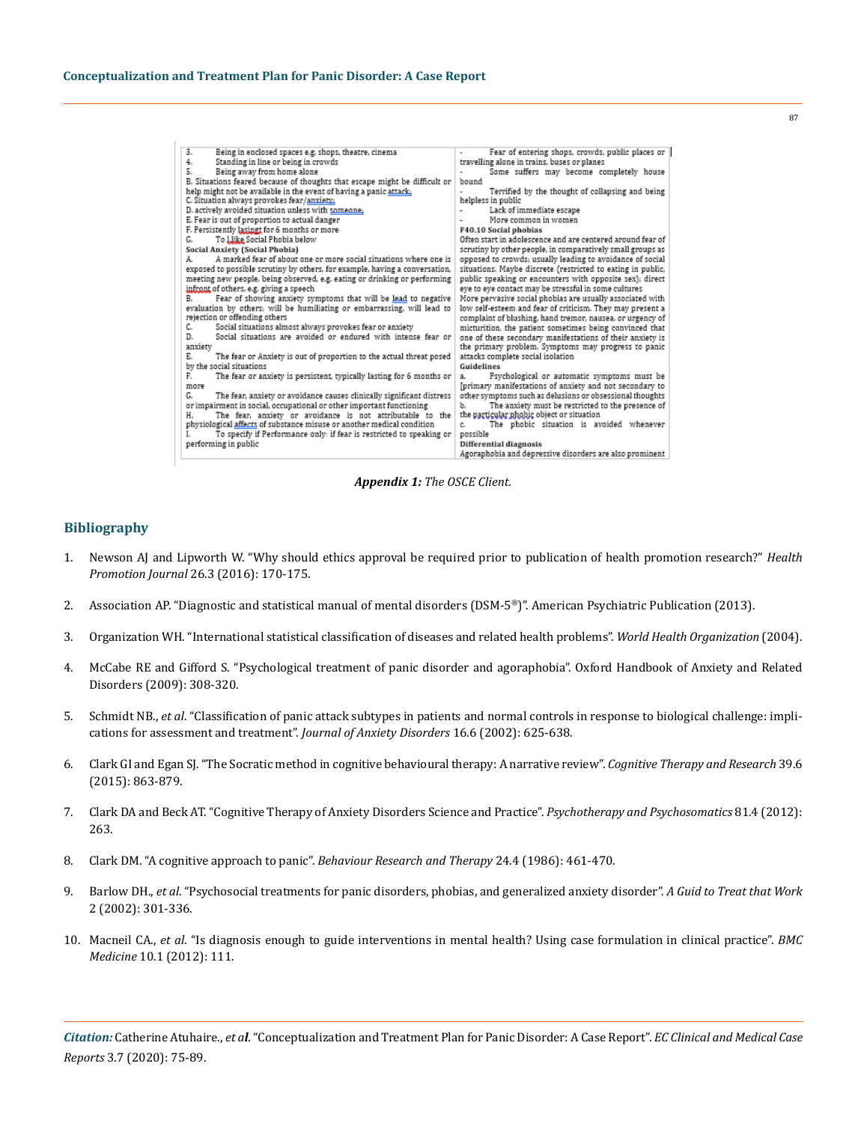| 3.<br>Being in enclosed spaces e.g. shops, theatre, cinema                  | Fear of entering shops, crowds, public places or            |
|-----------------------------------------------------------------------------|-------------------------------------------------------------|
| Standing in line or being in crowds<br>4.                                   | travelling alone in trains, buses or planes                 |
| 5.<br>Being away from home alone                                            | Some suffers may become completely house<br>٠               |
| B. Situations feared because of thoughts that escape might be difficult or  | bound                                                       |
| help might not be available in the event of having a panic attack.          | Terrified by the thought of collapsing and being            |
| C. Situation always provokes fear/anxiety.                                  | helpless in public                                          |
| D. actively avoided situation unless with someone;                          | Lack of immediate escape<br>٠                               |
| E. Fear is out of proportion to actual danger                               | More common in women                                        |
| F. Persistently lasingt for 6 months or more                                | F40.10 Social phobias                                       |
| To Llike Social Phobia below<br>G.                                          | Often start in adolescence and are centered around fear of  |
| Social Anxiety (Social Phobia)                                              | scrutiny by other people, in comparatively small groups as  |
| A marked fear of about one or more social situations where one is<br>А.     | opposed to crowds; usually leading to avoidance of social   |
| exposed to possible scrutiny by others, for example, having a conversation, | situations. Maybe discrete (restricted to eating in public, |
| meeting new people, being observed, e.g. eating or drinking or performing   | public speaking or encounters with opposite sex); direct    |
| infront of others, e.g. giving a speech                                     | eye to eye contact may be stressful in some cultures        |
| Fear of showing anxiety symptoms that will be lead to negative<br>В.        | More pervasive social phobias are usually associated with   |
| evaluation by others; will be humiliating or embarrassing, will lead to     | low self-esteem and fear of criticism. They may present a   |
| rejection or offending others                                               | complaint of blushing, hand tremor, nausea, or urgency of   |
| Social situations almost always provokes fear or anxiety<br>c.              | micturition, the patient sometimes being convinced that     |
| Social situations are avoided or endured with intense fear or<br>D.         | one of these secondary manifestations of their anxiety is   |
| anxiety                                                                     | the primary problem. Symptoms may progress to panic         |
| Е.<br>The fear or Anxiety is out of proportion to the actual threat posed   | attacks complete social isolation                           |
| by the social situations                                                    | Guidelines                                                  |
| The fear or anxiety is persistent, typically lasting for 6 months or<br>F.  | Psychological or automatic symptoms must be<br>a.           |
| more                                                                        | (primary manifestations of anxiety and not secondary to     |
| The fear, anxiety or avoidance causes clinically significant distress<br>G. | other symptoms such as delusions or obsessional thoughts    |
| or impairment in social, occupational or other important functioning        | The anxiety must be restricted to the presence of<br>ъ.     |
| The fear, anxiety or avoidance is not attributable to the<br>Η.             | the particular phobic object or situation                   |
| physiological affects of substance misuse or another medical condition      | The phobic situation is avoided whenever<br>c.              |
| To specify if Performance only: if fear is restricted to speaking or<br>L   | possible                                                    |
| performing in public                                                        | Differential diagnosis                                      |
|                                                                             | Agoraphobia and depressive disorders are also prominent     |

87

*Appendix 1: The OSCE Client.*

## **Bibliography**

- 1. [Newson AJ and Lipworth W. "Why should ethics approval be required prior to publication of health promotion research?"](https://www.ncbi.nlm.nih.gov/pubmed/26548539) *Health Promotion Journal* [26.3 \(2016\): 170-175.](https://www.ncbi.nlm.nih.gov/pubmed/26548539)
- 2. Association AP. "Diagnostic and statistical manual of mental disorders (DSM-5®)". American Psychiatric Publication (2013).
- 3. [Organization WH. "International statistical classification of diseases and related health problems".](https://en.wikipedia.org/wiki/International_Statistical_Classification_of_Diseases_and_Related_Health_Problems) *World Health Organization* (2004).
- 4. McCabe RE and Gifford S. "Psychological treatment of panic disorder and agoraphobia". Oxford Handbook of Anxiety and Related Disorders (2009): 308-320.
- 5. Schmidt NB., *et al*[. "Classification of panic attack subtypes in patients and normal controls in response to biological challenge: impli](https://www.ncbi.nlm.nih.gov/pubmed/12405522)[cations for assessment and treatment".](https://www.ncbi.nlm.nih.gov/pubmed/12405522) *Journal of Anxiety Disorders* 16.6 (2002): 625-638.
- 6. [Clark GI and Egan SJ. "The Socratic method in cognitive behavioural therapy: A narrative review".](https://link.springer.com/article/10.1007/s10608-015-9707-3) *Cognitive Therapy and Research* 39.6 [\(2015\): 863-879.](https://link.springer.com/article/10.1007/s10608-015-9707-3)
- 7. Clark DA and Beck AT. "Cognitive Therapy of Anxiety Disorders Science and Practice". *Psychotherapy and Psychosomatics* 81.4 (2012): 263.
- 8. [Clark DM. "A cognitive approach to panic".](https://www.ncbi.nlm.nih.gov/pubmed/3741311) *Behaviour Research and Therapy* 24.4 (1986): 461-470.
- 9. Barlow DH., *et al*[. "Psychosocial treatments for panic disorders, phobias, and generalized anxiety disorder".](https://www.oxfordclinicalpsych.com/view/10.1093/med:psych/9780195304145.001.0001/med-9780195304145-chapter-13) *A Guid to Treat that Work* [2 \(2002\): 301-336.](https://www.oxfordclinicalpsych.com/view/10.1093/med:psych/9780195304145.001.0001/med-9780195304145-chapter-13)
- 10. Macneil CA., *et al*[. "Is diagnosis enough to guide interventions in mental health? Using case formulation in clinical practice".](https://bmcmedicine.biomedcentral.com/articles/10.1186/1741-7015-10-111) *BMC Medicine* [10.1 \(2012\): 111.](https://bmcmedicine.biomedcentral.com/articles/10.1186/1741-7015-10-111)

*Citation:* Catherine Atuhaire., *et al*. "Conceptualization and Treatment Plan for Panic Disorder: A Case Report". *EC Clinical and Medical Case Reports* 3.7 (2020): 75-89.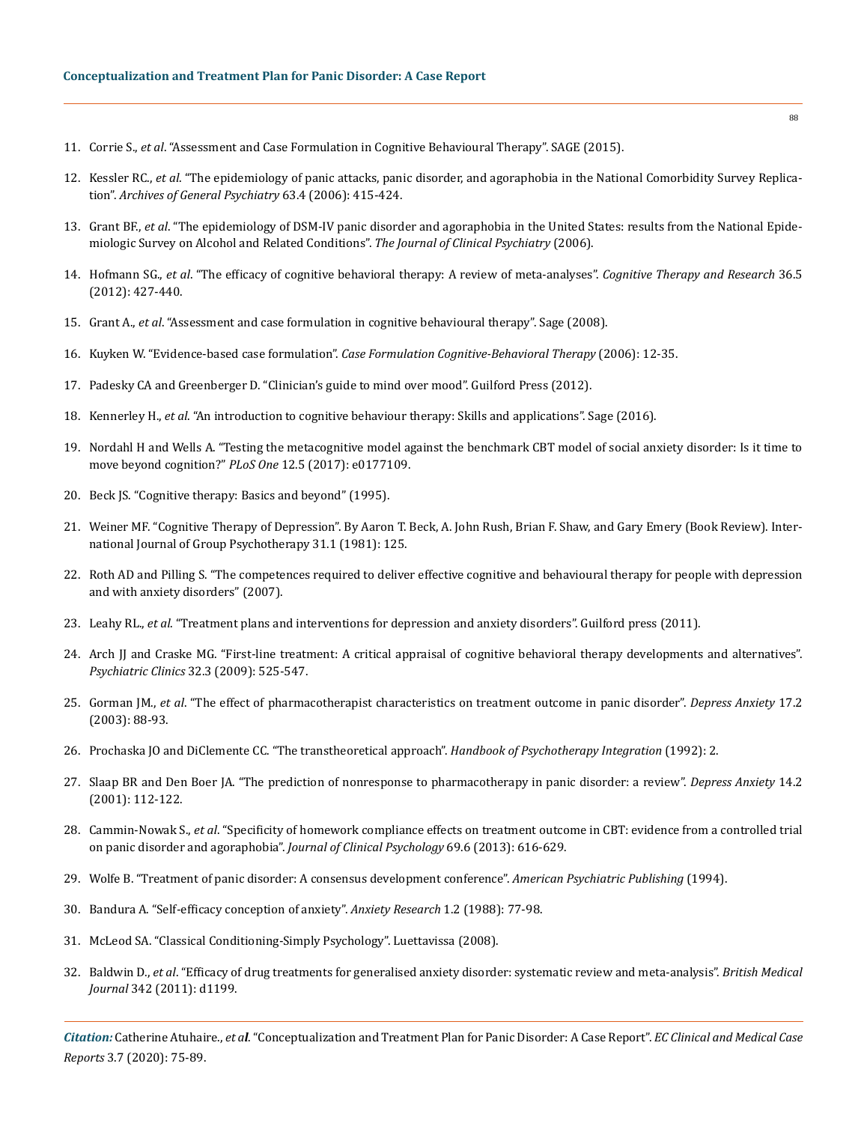- 11. Corrie S., *et al*[. "Assessment and Case Formulation in Cognitive Behavioural Therapy". SAGE \(2015\).](https://uk.sagepub.com/en-gb/eur/assessment-and-case-formulation-in-cognitive-behavioural-therapy/book242919)
- 12. Kessler RC., *et al*[. "The epidemiology of panic attacks, panic disorder, and agoraphobia in the National Comorbidity Survey Replica](https://www.ncbi.nlm.nih.gov/pmc/articles/PMC1958997/)tion". *[Archives of General Psychiatry](https://www.ncbi.nlm.nih.gov/pmc/articles/PMC1958997/)* 63.4 (2006): 415-424.
- 13. Grant BF., *et al*[. "The epidemiology of DSM-IV panic disorder and agoraphobia in the United States: results from the National Epide](https://europepmc.org/article/med/16649821)[miologic Survey on Alcohol and Related Conditions".](https://europepmc.org/article/med/16649821) *The Journal of Clinical Psychiatry* (2006).
- 14. Hofmann SG., *et al*[. "The efficacy of cognitive behavioral therapy: A review of meta-analyses".](https://www.ncbi.nlm.nih.gov/pmc/articles/PMC3584580/) *Cognitive Therapy and Research* 36.5 [\(2012\): 427-440.](https://www.ncbi.nlm.nih.gov/pmc/articles/PMC3584580/)
- 15. Grant A., *et al*[. "Assessment and case formulation in cognitive behavioural therapy". Sage \(2008\).](https://uk.sagepub.com/en-gb/eur/assessment-and-case-formulation-in-cognitive-behavioural-therapy/book242919)
- 16. Kuyken W. "Evidence-based case formulation". *[Case Formulation Cognitive-Behavioral Therapy](https://psycnet.apa.org/record/2006-09805-002)* (2006): 12-35.
- 17. Padesky CA and Greenberger D. "Clinician's guide to mind over mood". Guilford Press (2012).
- 18. Kennerley H., *et al*[. "An introduction to cognitive behaviour therapy: Skills and applications". Sage \(2016\).](https://uk.sagepub.com/en-gb/eur/an-introduction-to-cognitive-behaviour-therapy/book245476)
- 19. [Nordahl H and Wells A. "Testing the metacognitive model against the benchmark CBT model of social anxiety disorder: Is it time to](https://journals.plos.org/plosone/article?id=10.1371/journal.pone.0177109) [move beyond cognition?"](https://journals.plos.org/plosone/article?id=10.1371/journal.pone.0177109) *PLoS One* 12.5 (2017): e0177109.
- 20. Beck JS. "Cognitive therapy: Basics and beyond" (1995).
- 21. Weiner MF. "Cognitive Therapy of Depression". By Aaron T. Beck, A. John Rush, Brian F. Shaw, and Gary Emery (Book Review). International Journal of Group Psychotherapy 31.1 (1981): 125.
- 22. [Roth AD and Pilling S. "The competences required to deliver effective cognitive and behavioural therapy for people with depression](https://www.researchgate.net/publication/237549113_The_Competences_Required_to_Deliver_Effective_Cognitive_and_Behavioural_Therapy_for_People_with_Depression_and_with_Anxiety_Disorders) [and with anxiety disorders" \(2007\).](https://www.researchgate.net/publication/237549113_The_Competences_Required_to_Deliver_Effective_Cognitive_and_Behavioural_Therapy_for_People_with_Depression_and_with_Anxiety_Disorders)
- 23. Leahy RL., *et al*. "Treatment plans and interventions for depression and anxiety disorders". Guilford press (2011).
- 24. [Arch JJ and Craske MG. "First-line treatment: A critical appraisal of cognitive behavioral therapy developments and alternatives".](https://www.colorado.edu/clinicalpsychology/sites/default/files/attached-files/arch_craske_2009_first_line_treatments.pdf)  *[Psychiatric Clinics](https://www.colorado.edu/clinicalpsychology/sites/default/files/attached-files/arch_craske_2009_first_line_treatments.pdf)* 32.3 (2009): 525-547.
- 25. Gorman JM., *et al*[. "The effect of pharmacotherapist characteristics on treatment outcome in panic disorder".](https://www.ncbi.nlm.nih.gov/pubmed/12621597) *Depress Anxiety* 17.2 [\(2003\): 88-93.](https://www.ncbi.nlm.nih.gov/pubmed/12621597)
- 26. [Prochaska JO and DiClemente CC. "The transtheoretical approach".](https://psycnet.apa.org/record/1992-98710-009) *Handbook of Psychotherapy Integration* (1992): 2.
- 27. [Slaap BR and Den Boer JA. "The prediction of nonresponse to pharmacotherapy in panic disorder: a review".](https://www.ncbi.nlm.nih.gov/pubmed/11668664) *Depress Anxiety* 14.2 [\(2001\): 112-122.](https://www.ncbi.nlm.nih.gov/pubmed/11668664)
- 28. Cammin‐Nowak S., *et al*[. "Specificity of homework compliance effects on treatment outcome in CBT: evidence from a controlled trial](https://www.ncbi.nlm.nih.gov/pubmed/23504641)  on panic disorder and agoraphobia". *[Journal of Clinical Psychology](https://www.ncbi.nlm.nih.gov/pubmed/23504641)* 69.6 (2013): 616-629.
- 29. [Wolfe B. "Treatment of panic disorder: A consensus development conference".](https://consensus.nih.gov/1991/1991panicdisorder085html.htm) *American Psychiatric Publishing* (1994).
- 30. [Bandura A. "Self-efficacy conception of anxiety".](https://www.tandfonline.com/doi/abs/10.1080/10615808808248222) *Anxiety Research* 1.2 (1988): 77-98.
- 31. McLeod SA. "Classical Conditioning-Simply Psychology". Luettavissa (2008).
- 32. Baldwin D., *et al*[. "Efficacy of drug treatments for generalised anxiety disorder: systematic review and meta-analysis".](https://www.bmj.com/content/342/bmj.d1199) *British Medical Journal* [342 \(2011\): d1199.](https://www.bmj.com/content/342/bmj.d1199)

*Citation:* Catherine Atuhaire., *et al*. "Conceptualization and Treatment Plan for Panic Disorder: A Case Report". *EC Clinical and Medical Case Reports* 3.7 (2020): 75-89.